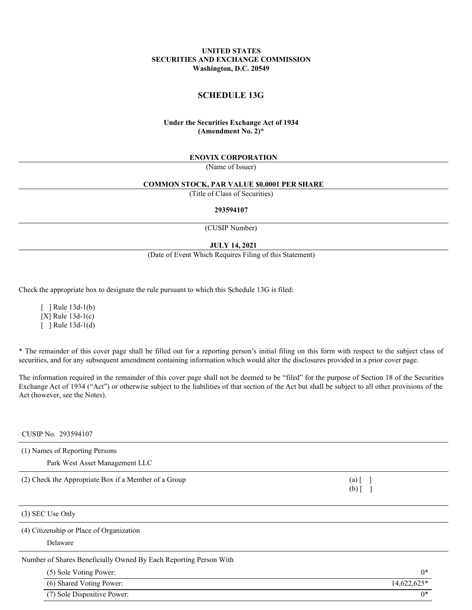## **UNITED STATES SECURITIES AND EXCHANGE COMMISSION Washington, D.C. 20549**

# **SCHEDULE 13G**

# **Under the Securities Exchange Act of 1934 (Amendment No. 2)\***

### **ENOVIX CORPORATION**

(Name of Issuer)

#### **COMMON STOCK, PAR VALUE \$0.0001 PER SHARE**

(Title of Class of Securities)

#### **293594107**

(CUSIP Number)

### **JULY 14, 2021**

(Date of Event Which Requires Filing of this Statement)

Check the appropriate box to designate the rule pursuant to which this Schedule 13G is filed:

 $\lceil$  ] Rule 13d-1(b) [X] Rule 13d-1(c)  $\lceil$  ] Rule 13d-1(d)

\* The remainder of this cover page shall be filled out for a reporting person's initial filing on this form with respect to the subject class of securities, and for any subsequent amendment containing information which would alter the disclosures provided in a prior cover page.

The information required in the remainder of this cover page shall not be deemed to be "filed" for the purpose of Section 18 of the Securities Exchange Act of 1934 ("Act") or otherwise subject to the liabilities of that section of the Act but shall be subject to all other provisions of the Act (however, see the Notes).

# CUSIP No. 293594107

(1) Names of Reporting Persons

Park West Asset Management LLC

(2) Check the Appropriate Box if a Member of a Group (a) [ ]

(3) SEC Use Only

(4) Citizenship or Place of Organization

Delaware

Number of Shares Beneficially Owned By Each Reporting Person With

| (5) Sole Voting Power:      | $0*$        |
|-----------------------------|-------------|
| (6) Shared Voting Power:    | 14,622,625* |
| (7) Sole Dispositive Power: | $0*$        |

 $(b)$  [ ]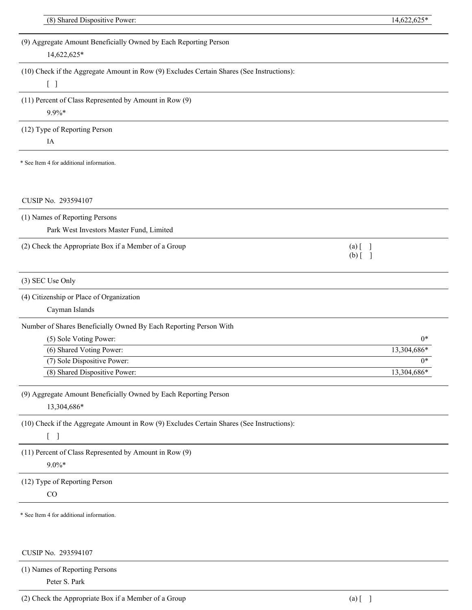| (8) Shared Dispositive Power:                                                             |                         | 14,622,625* |
|-------------------------------------------------------------------------------------------|-------------------------|-------------|
|                                                                                           |                         |             |
| (9) Aggregate Amount Beneficially Owned by Each Reporting Person                          |                         |             |
| 14,622,625*                                                                               |                         |             |
| (10) Check if the Aggregate Amount in Row (9) Excludes Certain Shares (See Instructions): |                         |             |
| $[\ ]$                                                                                    |                         |             |
| (11) Percent of Class Represented by Amount in Row (9)                                    |                         |             |
| $9.9\%*$                                                                                  |                         |             |
|                                                                                           |                         |             |
| (12) Type of Reporting Person                                                             |                         |             |
| IA                                                                                        |                         |             |
| * See Item 4 for additional information.                                                  |                         |             |
|                                                                                           |                         |             |
|                                                                                           |                         |             |
| CUSIP No. 293594107                                                                       |                         |             |
|                                                                                           |                         |             |
| (1) Names of Reporting Persons                                                            |                         |             |
| Park West Investors Master Fund, Limited                                                  |                         |             |
| (2) Check the Appropriate Box if a Member of a Group                                      | $(a)$ [                 |             |
|                                                                                           | $(b)$ [<br>$\mathbf{J}$ |             |
| (3) SEC Use Only                                                                          |                         |             |
|                                                                                           |                         |             |
| (4) Citizenship or Place of Organization                                                  |                         |             |
| Cayman Islands                                                                            |                         |             |
| Number of Shares Beneficially Owned By Each Reporting Person With                         |                         |             |
| (5) Sole Voting Power:                                                                    |                         | $0*$        |
| (6) Shared Voting Power:                                                                  |                         | 13,304,686* |
| (7) Sole Dispositive Power:                                                               |                         | $0*$        |
| (8) Shared Dispositive Power:                                                             |                         | 13,304,686* |
| (9) Aggregate Amount Beneficially Owned by Each Reporting Person                          |                         |             |
| 13,304,686*                                                                               |                         |             |
|                                                                                           |                         |             |
| (10) Check if the Aggregate Amount in Row (9) Excludes Certain Shares (See Instructions): |                         |             |
| $\begin{bmatrix} 1 \end{bmatrix}$                                                         |                         |             |
| (11) Percent of Class Represented by Amount in Row (9)                                    |                         |             |
| $9.0\%*$                                                                                  |                         |             |
| (12) Type of Reporting Person                                                             |                         |             |
| CO                                                                                        |                         |             |
|                                                                                           |                         |             |
| * See Item 4 for additional information.                                                  |                         |             |
|                                                                                           |                         |             |
|                                                                                           |                         |             |
| CUSIP No. 293594107                                                                       |                         |             |
| (1) Names of Reporting Persons                                                            |                         |             |

(2) Check the Appropriate Box if a Member of a Group (a) [ ]

Peter S. Park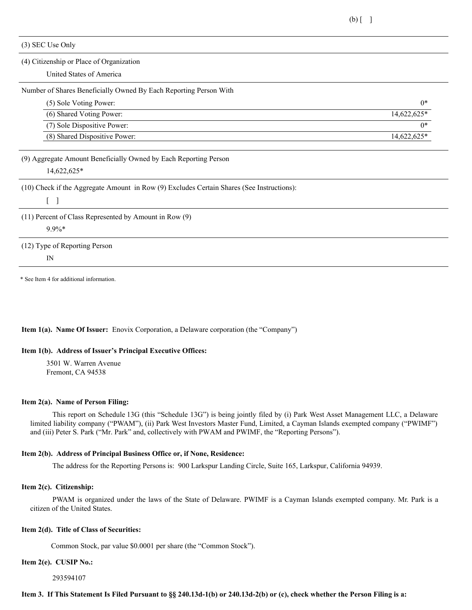(3) SEC Use Only

### (4) Citizenship or Place of Organization

United States of America

#### Number of Shares Beneficially Owned By Each Reporting Person With

| (5) Sole Voting Power:        | $0*$        |
|-------------------------------|-------------|
| (6) Shared Voting Power:      | 14.622.625* |
| (7) Sole Dispositive Power:   | $0*$        |
| (8) Shared Dispositive Power: | 14.622.625* |

### (9) Aggregate Amount Beneficially Owned by Each Reporting Person

14,622,625\*

(10) Check if the Aggregate Amount in Row (9) Excludes Certain Shares (See Instructions):

 $\lceil \; \rceil$ 

# (11) Percent of Class Represented by Amount in Row (9)

9.9%\*

(12) Type of Reporting Person

IN

\* See Item 4 for additional information.

### **Item 1(a). Name Of Issuer:** Enovix Corporation, a Delaware corporation (the "Company")

### **Item 1(b). Address of Issuer's Principal Executive Offices:**

3501 W. Warren Avenue Fremont, CA 94538

### **Item 2(a). Name of Person Filing:**

This report on Schedule 13G (this "Schedule 13G") is being jointly filed by (i) Park West Asset Management LLC, a Delaware limited liability company ("PWAM"), (ii) Park West Investors Master Fund, Limited, a Cayman Islands exempted company ("PWIMF") and (iii) Peter S. Park ("Mr. Park" and, collectively with PWAM and PWIMF, the "Reporting Persons").

### **Item 2(b). Address of Principal Business Office or, if None, Residence:**

The address for the Reporting Persons is: 900 Larkspur Landing Circle, Suite 165, Larkspur, California 94939.

### **Item 2(c). Citizenship:**

PWAM is organized under the laws of the State of Delaware. PWIMF is a Cayman Islands exempted company. Mr. Park is a citizen of the United States.

### **Item 2(d). Title of Class of Securities:**

Common Stock, par value \$0.0001 per share (the "Common Stock").

#### **Item 2(e). CUSIP No.:**

293594107

## Item 3. If This Statement Is Filed Pursuant to §§ 240.13d-1(b) or 240.13d-2(b) or (c), check whether the Person Filing is a: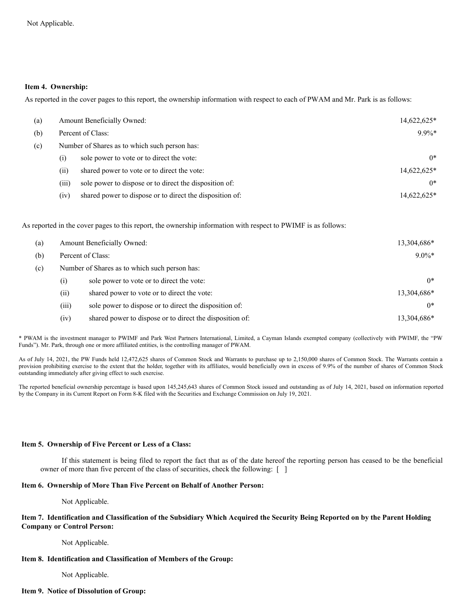### **Item 4. Ownership:**

As reported in the cover pages to this report, the ownership information with respect to each of PWAM and Mr. Park is as follows:

| (a) | <b>Amount Beneficially Owned:</b> |                                                          | 14,622,625* |
|-----|-----------------------------------|----------------------------------------------------------|-------------|
| (b) |                                   | Percent of Class:                                        | $9.9\%*$    |
| (c) |                                   | Number of Shares as to which such person has:            |             |
|     | (i)                               | sole power to vote or to direct the vote:                | $0*$        |
|     | (ii)                              | shared power to vote or to direct the vote:              | 14,622,625* |
|     | (iii)                             | sole power to dispose or to direct the disposition of:   | $0*$        |
|     | (iv)                              | shared power to dispose or to direct the disposition of: | 14,622,625* |

As reported in the cover pages to this report, the ownership information with respect to PWIMF is as follows:

| (a) | Amount Beneficially Owned:                    |                                                          | 13,304,686* |
|-----|-----------------------------------------------|----------------------------------------------------------|-------------|
| (b) | Percent of Class:                             |                                                          | $9.0\%*$    |
| (c) | Number of Shares as to which such person has: |                                                          |             |
|     | (i)                                           | sole power to vote or to direct the vote:                | $0*$        |
|     | (ii)                                          | shared power to vote or to direct the vote:              | 13,304,686* |
|     | (iii)                                         | sole power to dispose or to direct the disposition of:   | $0*$        |
|     | (iv)                                          | shared power to dispose or to direct the disposition of: | 13.304.686* |

\* PWAM is the investment manager to PWIMF and Park West Partners International, Limited, a Cayman Islands exempted company (collectively with PWIMF, the "PW Funds"). Mr. Park, through one or more affiliated entities, is the controlling manager of PWAM.

As of July 14, 2021, the PW Funds held 12,472,625 shares of Common Stock and Warrants to purchase up to 2,150,000 shares of Common Stock. The Warrants contain a provision prohibiting exercise to the extent that the holder, together with its affiliates, would beneficially own in excess of 9.9% of the number of shares of Common Stock outstanding immediately after giving effect to such exercise.

The reported beneficial ownership percentage is based upon 145,245,643 shares of Common Stock issued and outstanding as of July 14, 2021, based on information reported by the Company in its Current Report on Form 8-K filed with the Securities and Exchange Commission on July 19, 2021.

### **Item 5. Ownership of Five Percent or Less of a Class:**

If this statement is being filed to report the fact that as of the date hereof the reporting person has ceased to be the beneficial owner of more than five percent of the class of securities, check the following: [ ]

### **Item 6. Ownership of More Than Five Percent on Behalf of Another Person:**

Not Applicable.

## Item 7. Identification and Classification of the Subsidiary Which Acquired the Security Being Reported on by the Parent Holding **Company or Control Person:**

Not Applicable.

### **Item 8. Identification and Classification of Members of the Group:**

Not Applicable.

### **Item 9. Notice of Dissolution of Group:**